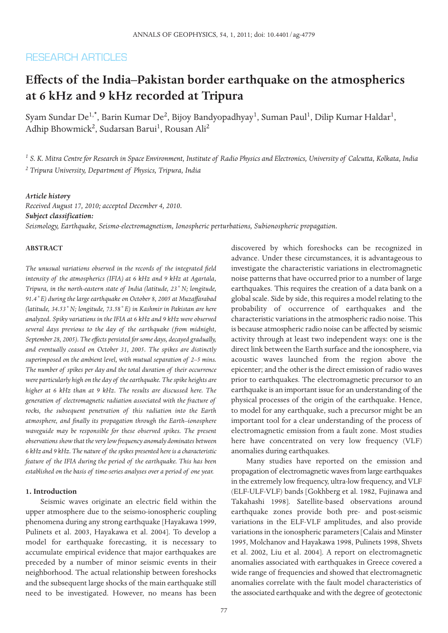# **RESEARCH ARTICLES**

# **Effects of the India–Pakistan border earthquake on the atmospherics at 6 kHz and 9 kHz recorded at Tripura**

Syam Sundar De $^{1,\star}$ , Barin Kumar De $^2$ , Bijoy Bandyopadhyay $^1$ , Suman Paul $^1$ , Dilip Kumar Haldar $^1$ , Adhip Bhowmick<sup>2</sup>, Sudarsan Barui<sup>1</sup>, Rousan Ali<sup>2</sup>

*<sup>1</sup> S. K. Mitra Centre for Research in Space Environment, Institute of Radio Physics and Electronics, University of Calcutta, Kolkata, India <sup>2</sup> Tripura University, Department of Physics, Tripura, India*

## *Article history*

*Received August 17, 2010; accepted December 4, 2010. Subject classification: Seismology, Earthquake, Seismo-electromagnetism, Ionospheric perturbations, Subionospheric propagation.*

# **ABSTRACT**

*The unusual variations observed in the records of the integrated field intensity of the atmospherics (IFIA) at 6 kHz and 9 kHz at Agartala, Tripura, in the north-eastern state of India (latitude, 23˚ N; longitude, 91.4˚ E) during the large earthquake on October 8, 2005 at Muzaffarabad (latitude, 34.53˚ N; longitude, 73.58˚ E) in Kashmir in Pakistan are here analyzed. Spiky variations in the IFIA at 6 kHz and 9 kHz were observed several days previous to the day of the earthquake (from midnight, September 28, 2005). The effects persisted for some days, decayed gradually, and eventually ceased on October 31, 2005. The spikes are distinctly superimposed on the ambient level, with mutual separation of 2–5 mins. The number of spikes per day and the total duration of their occurrence were particularly high on the day of the earthquake. The spike heights are higher at 6 kHz than at 9 kHz. The results are discussed here. The generation of electromagnetic radiation associated with the fracture of rocks, the subsequent penetration of this radiation into the Earth atmosphere, and finally its propagation through the Earth–ionosphere waveguide may be responsible for these observed spikes. The present observations show that the very low frequency anomaly dominates between 6 kHz and 9 kHz. The nature of the spikes presented here is a characteristic feature of the IFIA during the period of the earthquake. This has been established on the basis of time-series analyses over a period of one year.*

#### **1. Introduction**

Seismic waves originate an electric field within the upper atmosphere due to the seismo-ionospheric coupling phenomena during any strong earthquake [Hayakawa 1999, Pulinets et al. 2003, Hayakawa et al. 2004]. To develop a model for earthquake forecasting, it is necessary to accumulate empirical evidence that major earthquakes are preceded by a number of minor seismic events in their neighborhood. The actual relationship between foreshocks and the subsequent large shocks of the main earthquake still need to be investigated. However, no means has been

discovered by which foreshocks can be recognized in advance. Under these circumstances, it is advantageous to investigate the characteristic variations in electromagnetic noise patterns that have occurred prior to a number of large earthquakes. This requires the creation of a data bank on a global scale. Side by side, this requires a model relating to the probability of occurrence of earthquakes and the characteristic variations in the atmospheric radio noise. This is because atmospheric radio noise can be affected by seismic activity through at least two independent ways: one is the direct link between the Earth surface and the ionosphere, via acoustic waves launched from the region above the epicenter; and the other is the direct emission of radio waves prior to earthquakes. The electromagnetic precursor to an earthquake is an important issue for an understanding of the physical processes of the origin of the earthquake. Hence, to model for any earthquake, such a precursor might be an important tool for a clear understanding of the process of electromagnetic emission from a fault zone. Most studies here have concentrated on very low frequency (VLF) anomalies during earthquakes.

Many studies have reported on the emission and propagation of electromagnetic waves from large earthquakes in the extremely low frequency, ultra-low frequency, and VLF (ELF-ULF-VLF) bands [Gokhberg et al. 1982, Fujinawa and Takahashi 1998]. Satellite-based observations around earthquake zones provide both pre- and post-seismic variations in the ELF-VLF amplitudes, and also provide variations in the ionospheric parameters [Calais and Minster 1995, Molchanov and Hayakawa 1998, Pulinets 1998, Shvets et al. 2002, Liu et al. 2004]. A report on electromagnetic anomalies associated with earthquakes in Greece covered a wide range of frequencies and showed that electromagnetic anomalies correlate with the fault model characteristics of the associated earthquake and with the degree of geotectonic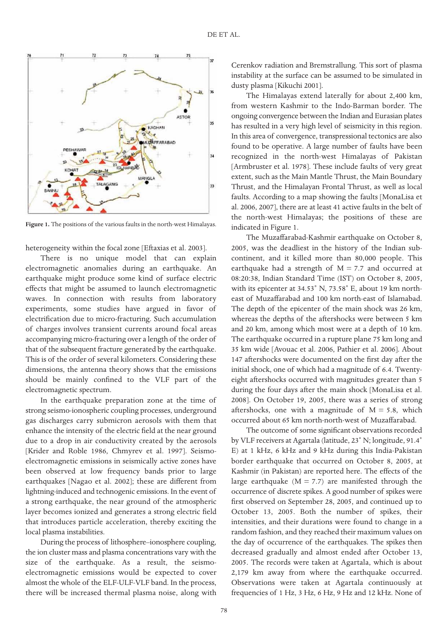

**Figure 1.** The positions of the various faults in the north-west Himalayas.

heterogeneity within the focal zone [Eftaxias et al. 2003].

There is no unique model that can explain electromagnetic anomalies during an earthquake. An earthquake might produce some kind of surface electric effects that might be assumed to launch electromagnetic waves. In connection with results from laboratory experiments, some studies have argued in favor of electrification due to micro-fracturing. Such accumulation of charges involves transient currents around focal areas accompanying micro-fracturing over a length of the order of that of the subsequent fracture generated by the earthquake. This is of the order of several kilometers. Considering these dimensions, the antenna theory shows that the emissions should be mainly confined to the VLF part of the electromagnetic spectrum.

In the earthquake preparation zone at the time of strong seismo-ionospheric coupling processes, underground gas discharges carry submicron aerosols with them that enhance the intensity of the electric field at the near ground due to a drop in air conductivity created by the aerosols [Krider and Roble 1986, Chmyrev et al. 1997]. Seismoelectromagnetic emissions in seismically active zones have been observed at low frequency bands prior to large earthquakes [Nagao et al. 2002]; these are different from lightning-induced and technogenic emissions. In the event of a strong earthquake, the near ground of the atmospheric layer becomes ionized and generates a strong electric field that introduces particle acceleration, thereby exciting the local plasma instabilities.

During the process of lithosphere–ionosphere coupling, the ion cluster mass and plasma concentrations vary with the size of the earthquake. As a result, the seismoelectromagnetic emissions would be expected to cover almost the whole of the ELF-ULF-VLF band. In the process, there will be increased thermal plasma noise, along with

Cerenkov radiation and Bremstrallung. This sort of plasma instability at the surface can be assumed to be simulated in dusty plasma [Kikuchi 2001].

The Himalayas extend laterally for about 2,400 km, from western Kashmir to the Indo-Barman border. The ongoing convergence between the Indian and Eurasian plates has resulted in a very high level of seismicity in this region. In this area of convergence, transpressional tectonics are also found to be operative. A large number of faults have been recognized in the north-west Himalayas of Pakistan [Armbruster et al. 1978]. These include faults of very great extent, such as the Main Mantle Thrust, the Main Boundary Thrust, and the Himalayan Frontal Thrust, as well as local faults. According to a map showing the faults [MonaLisa et al. 2006, 2007], there are at least 41 active faults in the belt of the north-west Himalayas; the positions of these are indicated in Figure 1.

The Muzaffarabad-Kashmir earthquake on October 8, 2005, was the deadliest in the history of the Indian subcontinent, and it killed more than 80,000 people. This earthquake had a strength of  $M = 7.7$  and occurred at 08:20:38, Indian Standard Time (IST) on October 8, 2005, with its epicenter at 34.53˚ N, 73.58˚ E, about 19 km northeast of Muzaffarabad and 100 km north-east of Islamabad. The depth of the epicenter of the main shock was 26 km, whereas the depths of the aftershocks were between 5 km and 20 km, among which most were at a depth of 10 km. The earthquake occurred in a rupture plane 75 km long and 35 km wide [Avouac et al. 2006, Pathier et al. 2006]. About 147 aftershocks were documented on the first day after the initial shock, one of which had a magnitude of 6.4. Twentyeight aftershocks occurred with magnitudes greater than 5 during the four days after the main shock [MonaLisa et al. 2008]. On October 19, 2005, there was a series of strong aftershocks, one with a magnitude of  $M = 5.8$ , which occurred about 65 km north-north-west of Muzaffarabad.

The outcome of some significant observations recorded by VLF receivers at Agartala (latitude, 23˚ N; longitude, 91.4˚ E) at 1 kHz, 6 kHz and 9 kHz during this India-Pakistan border earthquake that occurred on October 8, 2005, at Kashmir (in Pakistan) are reported here. The effects of the large earthquake  $(M = 7.7)$  are manifested through the occurrence of discrete spikes. A good number of spikes were first observed on September 28, 2005, and continued up to October 13, 2005. Both the number of spikes, their intensities, and their durations were found to change in a random fashion, and they reached their maximum values on the day of occurrence of the earthquakes. The spikes then decreased gradually and almost ended after October 13, 2005. The records were taken at Agartala, which is about 2,179 km away from where the earthquake occurred. Observations were taken at Agartala continuously at frequencies of 1 Hz, 3 Hz, 6 Hz, 9 Hz and 12 kHz. None of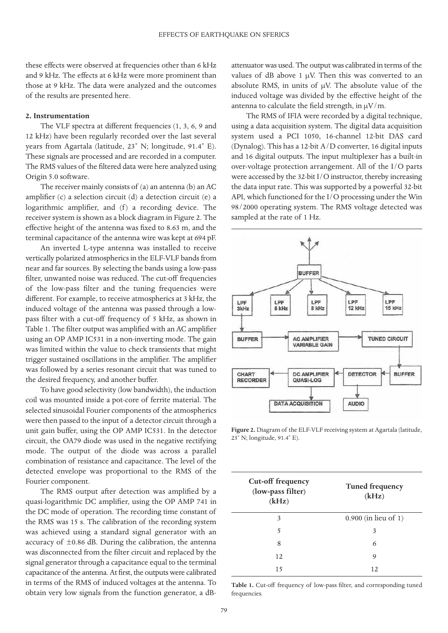these effects were observed at frequencies other than 6 kHz and 9 kHz. The effects at 6 kHz were more prominent than those at 9 kHz. The data were analyzed and the outcomes of the results are presented here.

#### **2. Instrumentation**

The VLF spectra at different frequencies (1, 3, 6, 9 and 12 kHz) have been regularly recorded over the last several years from Agartala (latitude, 23˚ N; longitude, 91.4˚ E). These signals are processed and are recorded in a computer. The RMS values of the filtered data were here analyzed using Origin 5.0 software.

The receiver mainly consists of (a) an antenna (b) an AC amplifier (c) a selection circuit (d) a detection circuit (e) a logarithmic amplifier, and (f) a recording device. The receiver system is shown as a block diagram in Figure 2. The effective height of the antenna was fixed to 8.63 m, and the terminal capacitance of the antenna wire was kept at 694 pF.

An inverted L-type antenna was installed to receive vertically polarized atmospherics in the ELF-VLF bands from near and far sources. By selecting the bands using a low-pass filter, unwanted noise was reduced. The cut-off frequencies of the low-pass filter and the tuning frequencies were different. For example, to receive atmospherics at 3 kHz, the induced voltage of the antenna was passed through a lowpass filter with a cut-off frequency of 5 kHz, as shown in Table 1. The filter output was amplified with an AC amplifier using an OP AMP IC531 in a non-inverting mode. The gain was limited within the value to check transients that might trigger sustained oscillations in the amplifier. The amplifier was followed by a series resonant circuit that was tuned to the desired frequency, and another buffer.

To have good selectivity (low bandwidth), the induction coil was mounted inside a pot-core of ferrite material. The selected sinusoidal Fourier components of the atmospherics were then passed to the input of a detector circuit through a unit gain buffer, using the OP AMP IC531. In the detector circuit, the OA79 diode was used in the negative rectifying mode. The output of the diode was across a parallel combination of resistance and capacitance. The level of the detected envelope was proportional to the RMS of the Fourier component.

The RMS output after detection was amplified by a quasi-logarithmic DC amplifier, using the OP AMP 741 in the DC mode of operation. The recording time constant of the RMS was 15 s. The calibration of the recording system was achieved using a standard signal generator with an accuracy of  $\pm 0.86$  dB. During the calibration, the antenna was disconnected from the filter circuit and replaced by the signal generator through a capacitance equal to the terminal capacitance of the antenna. At first, the outputs were calibrated in terms of the RMS of induced voltages at the antenna. To obtain very low signals from the function generator, a dB-

attenuator was used. The output was calibrated in terms of the values of dB above 1  $\mu$ V. Then this was converted to an absolute RMS, in units of  $\mu$ V. The absolute value of the induced voltage was divided by the effective height of the antenna to calculate the field strength, in  $\mu$ V/m.

The RMS of IFIA were recorded by a digital technique, using a data acquisition system. The digital data acquisition system used a PCI 1050, 16-channel 12-bit DAS card (Dynalog). This has a 12-bit A/D converter, 16 digital inputs and 16 digital outputs. The input multiplexer has a built-in over-voltage protection arrangement. All of the I/O parts were accessed by the 32-bit I/O instructor, thereby increasing the data input rate. This was supported by a powerful 32-bit API, which functioned for the I/O processing under the Win 98/2000 operating system. The RMS voltage detected was sampled at the rate of 1 Hz.



**Figure 2.** Diagram of the ELF-VLF receiving system at Agartala (latitude, 23˚ N; longitude, 91.4˚ E).

| Cut-off frequency<br>(low-pass filter)<br>(kHz) | <b>Tuned frequency</b><br>(kHz) |
|-------------------------------------------------|---------------------------------|
| 3                                               | $0.900$ (in lieu of 1)          |
| 5                                               | 3                               |
| 8                                               | 6                               |
| 12                                              | 9                               |
| 15                                              | 12.                             |

**Table 1.** Cut-off frequency of low-pass filter, and corresponding tuned frequencies.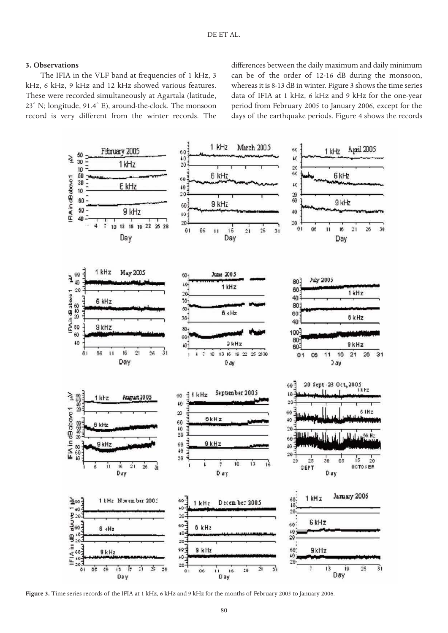## **3. Observations**

The IFIA in the VLF band at frequencies of 1 kHz, 3 kHz, 6 kHz, 9 kHz and 12 kHz showed various features. These were recorded simultaneously at Agartala (latitude, 23˚ N; longitude, 91.4˚ E), around-the-clock. The monsoon record is very different from the winter records. The differences between the daily maximum and daily minimum can be of the order of 12-16 dB during the monsoon, whereas it is 8-13 dB in winter. Figure 3 shows the time series data of IFIA at 1 kHz, 6 kHz and 9 kHz for the one-year period from February 2005 to January 2006, except for the days of the earthquake periods. Figure 4 shows the records



**Figure 3.** Time series records of the IFIA at 1 kHz, 6 kHz and 9 kHz for the months of February 2005 to January 2006.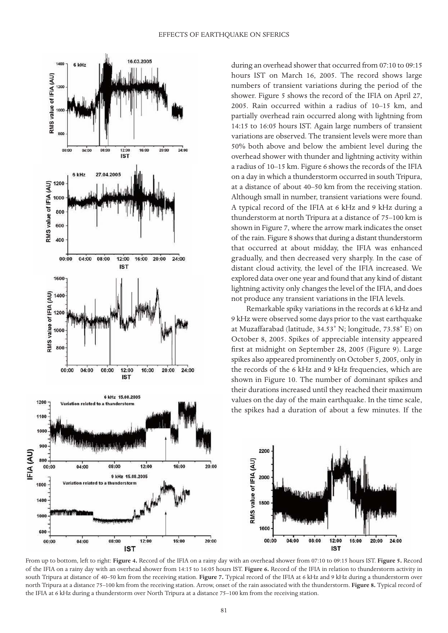

during an overhead shower that occurred from 07:10 to 09:15 hours IST on March 16, 2005. The record shows large numbers of transient variations during the period of the shower. Figure 5 shows the record of the IFIA on April 27, 2005. Rain occurred within a radius of 10–15 km, and partially overhead rain occurred along with lightning from 14:15 to 16:05 hours IST. Again large numbers of transient variations are observed. The transient levels were more than 50% both above and below the ambient level during the overhead shower with thunder and lightning activity within a radius of 10–15 km. Figure 6 shows the records of the IFIA on a day in which a thunderstorm occurred in south Tripura, at a distance of about 40–50 km from the receiving station. Although small in number, transient variations were found. A typical record of the IFIA at 6 kHz and 9 kHz during a thunderstorm at north Tripura at a distance of 75–100 km is shown in Figure 7, where the arrow mark indicates the onset of the rain. Figure 8 shows that during a distant thunderstorm that occurred at about midday, the IFIA was enhanced gradually, and then decreased very sharply. In the case of distant cloud activity, the level of the IFIA increased. We explored data over one year and found that any kind of distant lightning activity only changes the level of the IFIA, and does not produce any transient variations in the IFIA levels.

Remarkable spiky variations in the records at 6 kHz and 9 kHz were observed some days prior to the vast earthquake at Muzaffarabad (latitude, 34.53˚ N; longitude, 73.58˚ E) on October 8, 2005. Spikes of appreciable intensity appeared first at midnight on September 28, 2005 (Figure 9). Large spikes also appeared prominently on October 5, 2005, only in the records of the 6 kHz and 9 kHz frequencies, which are shown in Figure 10. The number of dominant spikes and their durations increased until they reached their maximum values on the day of the main earthquake. In the time scale, the spikes had a duration of about a few minutes. If the



From up to bottom, left to right: **Figure 4.** Record of the IFIA on a rainy day with an overhead shower from 07:10 to 09:15 hours IST. **Figure 5.** Record of the IFIA on a rainy day with an overhead shower from 14:15 to 16:05 hours IST. **Figure 6.** Record of the IFIA in relation to thunderstorm activity in south Tripura at distance of 40–50 km from the receiving station. **Figure 7.** Typical record of the IFIA at 6 kHz and 9 kHz during a thunderstorm over north Tripura at a distance 75–100 km from the receiving station. Arrow, onset of the rain associated with the thunderstorm. **Figure 8.** Typical record of the IFIA at 6 kHz during a thunderstorm over North Tripura at a distance 75–100 km from the receiving station.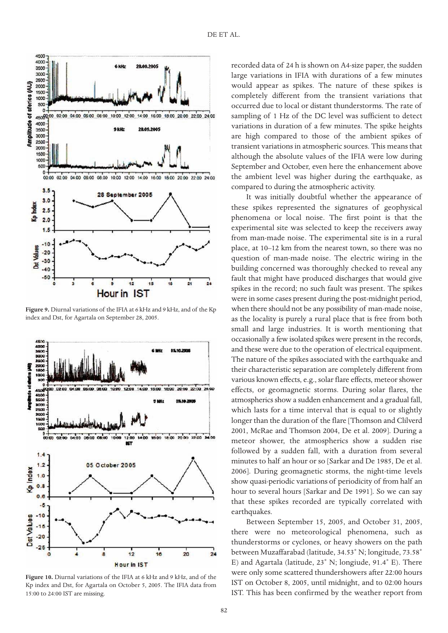

**Figure 9.** Diurnal variations of the IFIA at 6 kHz and 9 kHz, and of the Kp index and Dst, for Agartala on September 28, 2005.



**Figure 10.** Diurnal variations of the IFIA at 6 kHz and 9 kHz, and of the Kp index and Dst, for Agartala on October 5, 2005. The IFIA data from 15:00 to 24:00 IST are missing.

recorded data of 24 h is shown on A4-size paper, the sudden large variations in IFIA with durations of a few minutes would appear as spikes. The nature of these spikes is completely different from the transient variations that occurred due to local or distant thunderstorms. The rate of sampling of 1 Hz of the DC level was sufficient to detect variations in duration of a few minutes. The spike heights are high compared to those of the ambient spikes of transient variations in atmospheric sources. This means that although the absolute values of the IFIA were low during September and October, even here the enhancement above the ambient level was higher during the earthquake, as compared to during the atmospheric activity.

It was initially doubtful whether the appearance of these spikes represented the signatures of geophysical phenomena or local noise. The first point is that the experimental site was selected to keep the receivers away from man-made noise. The experimental site is in a rural place, at 10–12 km from the nearest town, so there was no question of man-made noise. The electric wiring in the building concerned was thoroughly checked to reveal any fault that might have produced discharges that would give spikes in the record; no such fault was present. The spikes were in some cases present during the post-midnight period, when there should not be any possibility of man-made noise, as the locality is purely a rural place that is free from both small and large industries. It is worth mentioning that occasionally a few isolated spikes were present in the records, and these were due to the operation of electrical equipment. The nature of the spikes associated with the earthquake and their characteristic separation are completely different from various known effects, e.g., solar flare effects, meteor shower effects, or geomagnetic storms. During solar flares, the atmospherics show a sudden enhancement and a gradual fall, which lasts for a time interval that is equal to or slightly longer than the duration of the flare [Thomson and Clilverd 2001, McRae and Thomson 2004, De et al. 2009]. During a meteor shower, the atmospherics show a sudden rise followed by a sudden fall, with a duration from several minutes to half an hour or so [Sarkar and De 1985, De et al. 2006]. During geomagnetic storms, the night-time levels show quasi-periodic variations of periodicity of from half an hour to several hours [Sarkar and De 1991]. So we can say that these spikes recorded are typically correlated with earthquakes.

Between September 15, 2005, and October 31, 2005, there were no meteorological phenomena, such as thunderstorms or cyclones, or heavy showers on the path between Muzaffarabad (latitude, 34.53˚ N; longitude, 73.58˚ E) and Agartala (latitude, 23˚ N; longiude, 91.4˚ E). There were only some scattered thundershowers after 22:00 hours IST on October 8, 2005, until midnight, and to 02:00 hours IST. This has been confirmed by the weather report from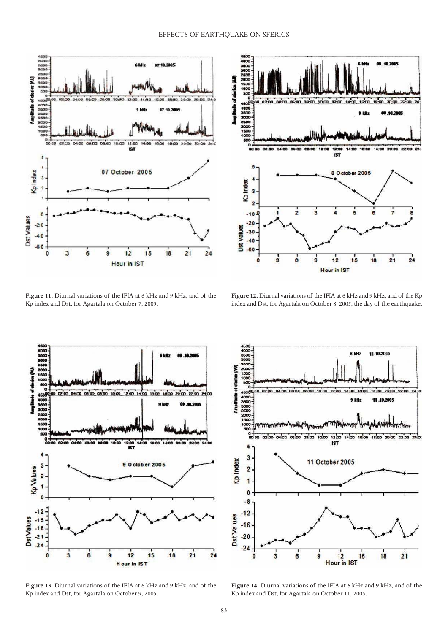

**Figure 11.** Diurnal variations of the IFIA at 6 kHz and 9 kHz, and of the Kp index and Dst, for Agartala on October 7, 2005.



**Figure 12.** Diurnal variations of the IFIA at 6 kHz and 9 kHz, and of the Kp index and Dst, for Agartala on October 8, 2005, the day of the earthquake.



**Figure 13.** Diurnal variations of the IFIA at 6 kHz and 9 kHz, and of the Kp index and Dst, for Agartala on October 9, 2005.



**Figure 14.** Diurnal variations of the IFIA at 6 kHz and 9 kHz, and of the Kp index and Dst, for Agartala on October 11, 2005.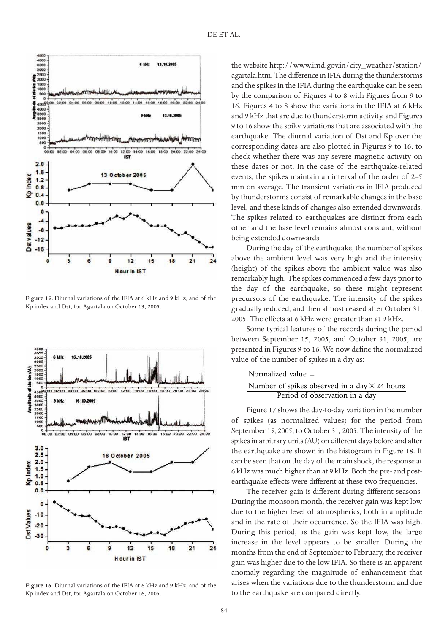

**Figure 15.** Diurnal variations of the IFIA at 6 kHz and 9 kHz, and of the Kp index and Dst, for Agartala on October 13, 2005.



**Figure 16.** Diurnal variations of the IFIA at 6 kHz and 9 kHz, and of the Kp index and Dst, for Agartala on October 16, 2005.

the website http://www.imd.gov.in/city\_weather/station/ agartala.htm. The difference in IFIA during the thunderstorms and the spikes in the IFIA during the earthquake can be seen by the comparison of Figures 4 to 8 with Figures from 9 to 16. Figures 4 to 8 show the variations in the IFIA at 6 kHz and 9 kHz that are due to thunderstorm activity, and Figures 9 to 16 show the spiky variations that are associated with the earthquake. The diurnal variation of Dst and Kp over the corresponding dates are also plotted in Figures 9 to 16, to check whether there was any severe magnetic activity on these dates or not. In the case of the earthquake-related events, the spikes maintain an interval of the order of 2–5 min on average. The transient variations in IFIA produced by thunderstorms consist of remarkable changes in the base level, and these kinds of changes also extended downwards. The spikes related to earthquakes are distinct from each other and the base level remains almost constant, without being extended downwards.

During the day of the earthquake, the number of spikes above the ambient level was very high and the intensity (height) of the spikes above the ambient value was also remarkably high. The spikes commenced a few days prior to the day of the earthquake, so these might represent precursors of the earthquake. The intensity of the spikes gradually reduced, and then almost ceased after October 31, 2005. The effects at 6 kHz were greater than at 9 kHz.

Some typical features of the records during the period between September 15, 2005, and October 31, 2005, are presented in Figures 9 to 16. We now define the normalized value of the number of spikes in a day as:

# Normalized value = Period of observation in a day Number of spikes observed in a day  $\times$  24 hours

Figure 17 shows the day-to-day variation in the number of spikes (as normalized values) for the period from September 15, 2005, to October 31, 2005. The intensity of the spikes in arbitrary units (AU) on different days before and after the earthquake are shown in the histogram in Figure 18. It can be seen that on the day of the main shock, the response at 6 kHz was much higher than at 9 kHz. Both the pre- and postearthquake effects were different at these two frequencies.

The receiver gain is different during different seasons. During the monsoon month, the receiver gain was kept low due to the higher level of atmospherics, both in amplitude and in the rate of their occurrence. So the IFIA was high. During this period, as the gain was kept low, the large increase in the level appears to be smaller. During the months from the end of September to February, the receiver gain was higher due to the low IFIA. So there is an apparent anomaly regarding the magnitude of enhancement that arises when the variations due to the thunderstorm and due to the earthquake are compared directly.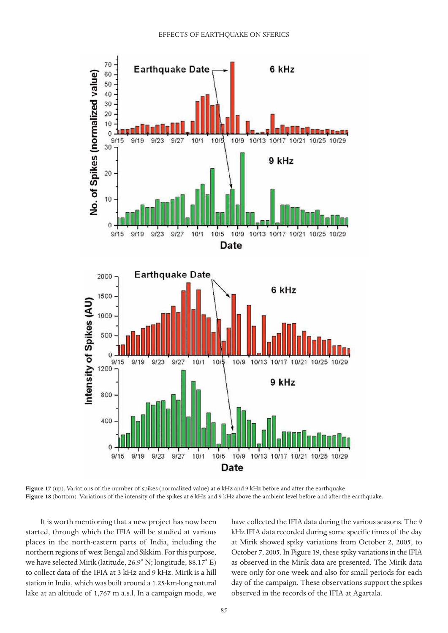

**Figure 17** (up). Variations of the number of spikes (normalized value) at 6 kHz and 9 kHz before and after the earthquake. **Figure 18** (bottom). Variations of the intensity of the spikes at 6 kHz and 9 kHz above the ambient level before and after the earthquake.

It is worth mentioning that a new project has now been started, through which the IFIA will be studied at various places in the north-eastern parts of India, including the northern regions of west Bengal and Sikkim. For this purpose, we have selected Mirik (latitude, 26.9˚ N; longitude, 88.17˚ E) to collect data of the IFIA at 3 kHz and 9 kHz. Mirik is a hill station in India, which was built around a 1.25-km-long natural lake at an altitude of 1,767 m a.s.l. In a campaign mode, we have collected the IFIA data during the various seasons. The 9 kHz IFIA data recorded during some specific times of the day at Mirik showed spiky variations from October 2, 2005, to October 7, 2005. In Figure 19, these spiky variations in the IFIA as observed in the Mirik data are presented. The Mirik data were only for one week and also for small periods for each day of the campaign. These observations support the spikes observed in the records of the IFIA at Agartala.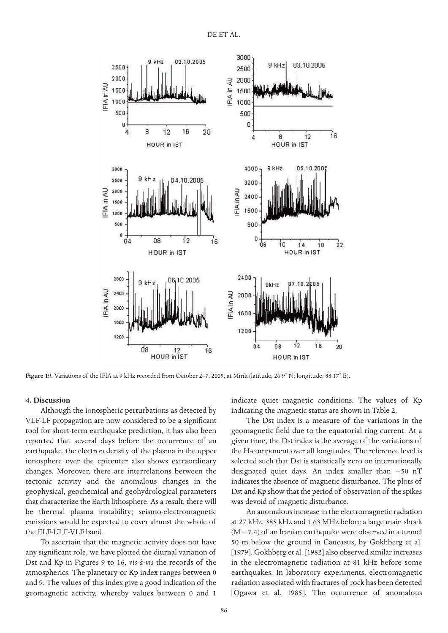

**Figure 19.** Variations of the IFIA at 9 kHz recorded from October 2–7, 2005, at Mirik (latitude, 26.9˚ N; longitude, 88.17˚ E).

#### **4. Discussion**

Although the ionospheric perturbations as detected by VLF-LF propagation are now considered to be a significant tool for short-term earthquake prediction, it has also been reported that several days before the occurrence of an earthquake, the electron density of the plasma in the upper ionosphere over the epicenter also shows extraordinary changes. Moreover, there are interrelations between the tectonic activity and the anomalous changes in the geophysical, geochemical and geohydrological parameters that characterize the Earth lithosphere. As a result, there will be thermal plasma instability; seismo-electromagnetic emissions would be expected to cover almost the whole of the ELF-ULF-VLF band.

To ascertain that the magnetic activity does not have any significant role, we have plotted the diurnal variation of Dst and Kp in Figures 9 to 16, *vis-à-vis* the records of the atmospherics. The planetary or Kp index ranges between 0 and 9. The values of this index give a good indication of the geomagnetic activity, whereby values between 0 and 1

indicate quiet magnetic conditions. The values of Kp indicating the magnetic status are shown in Table 2.

The Dst index is a measure of the variations in the geomagnetic field due to the equatorial ring current. At a given time, the Dst index is the average of the variations of the H-component over all longitudes. The reference level is selected such that Dst is statistically zero on internationally designated quiet days. An index smaller than −50 nT indicates the absence of magnetic disturbance. The plots of Dst and Kp show that the period of observation of the spikes was devoid of magnetic disturbance.

An anomalous increase in the electromagnetic radiation at 27 kHz, 385 kHz and 1.63 MHz before a large main shock  $(M = 7.4)$  of an Iranian earthquake were observed in a tunnel 50 m below the ground in Caucasus, by Gokhberg et al. [1979]. Gokhberg et al. [1982] also observed similar increases in the electromagnetic radiation at 81 kHz before some earthquakes. In laboratory experiments, electromagnetic radiation associated with fractures of rock has been detected [Ogawa et al. 1985]. The occurrence of anomalous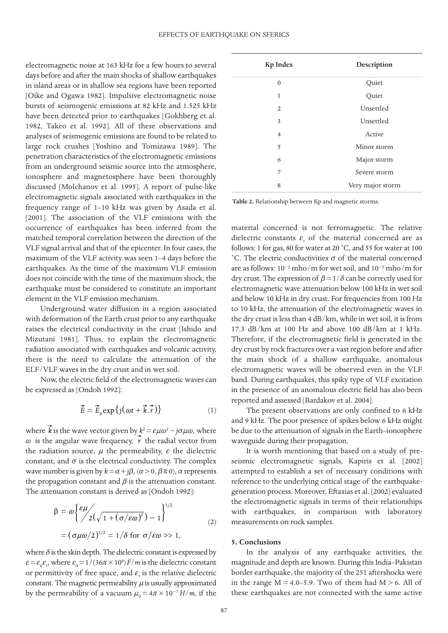electromagnetic noise at 163 kHz for a few hours to several days before and after the main shocks of shallow earthquakes in island areas or in shallow sea regions have been reported [Oike and Ogawa 1982]. Impulsive electromagnetic noise bursts of seismogenic emissions at 82 kHz and 1.525 kHz have been detected prior to earthquakes [Gokhberg et al. 1982, Takeo et al. 1992]. All of these observations and analyses of seismogenic emissions are found to be related to large rock crushes [Yoshino and Tomizawa 1989]. The penetration characteristics of the electromagnetic emissions from an underground seismic source into the atmosphere, ionosphere and magnetosphere have been thoroughly discussed [Molchanov et al. 1995]. A report of pulse-like electromagnetic signals associated with earthquakes in the frequency range of 1–10 kHz was given by Asada et al. [2001]. The association of the VLF emissions with the occurrence of earthquakes has been inferred from the matched temporal correlation between the direction of the VLF signal arrival and that of the epicenter. In four cases, the maximum of the VLF activity was seen 1–4 days before the earthquakes. As the time of the maximum VLF emission does not coincide with the time of the maximum shock, the earthquake must be considered to constitute an important element in the VLF emission mechanism.

Underground water diffusion in a region associated with deformation of the Earth crust prior to any earthquake raises the electrical conductivity in the crust [Ishido and Mizutani 1981]. Thus, to explain the electromagnetic radiation associated with earthquakes and volcanic activity, there is the need to calculate the attenuation of the ELF/VLF waves in the dry crust and in wet soil.

Now, the electric field of the electromagnetic waves can be expressed as [Ondoh 1992]:

$$
\vec{E} = \vec{E}_0 \exp\{j(\omega t + \vec{k}.\vec{r})\}
$$
 (1)

where  $\vec{k}$  is the wave vector given by  $k^2 = \varepsilon \mu \omega^2 - j \sigma \mu \omega$ , where  $\omega$  is the angular wave frequency,  $\overrightarrow{r}$  the radial vector from the radiation source,  $\mu$  the permeability,  $\varepsilon$  the dielectric constant, and  $\sigma$  is the electrical conductivity. The complex wave number is given by  $k = \alpha + j\beta$ ,  $(\alpha > 0, \beta \ge 0)$ ,  $\alpha$  represents the propagation constant and  $\beta$  is the attenuation constant. The attenuation constant is derived as [Ondoh 1992]:

$$
\beta = \omega \left\{ \frac{\varepsilon \mu}{2(\sqrt{1 + (\sigma/\varepsilon \omega)^2}) - 1} \right\}^{1/2}
$$
  
=  $(\sigma \mu \omega/2)^{1/2} = 1/\delta$  for  $\sigma/\varepsilon \omega >> 1$ , (2)

where  $\delta$  is the skin depth. The dielectric constant is expressed by  $\epsilon = \epsilon_0 \epsilon_r$ , where  $\epsilon_0 = 1/(36\pi \times 10^9)$  *F/m* is the dielectric constant or permittivity of free space, and  $\varepsilon_r$  is the relative dielectric constant. The magnetic permeability  $\mu$  is usually approximated by the permeability of a vacuum  $\mu_0 = 4\pi \times 10^{-7} H/m$ , if the

| <b>Kp Index</b> | Description      |
|-----------------|------------------|
| $\overline{0}$  | Quiet            |
| 1               | Quiet            |
| 2               | Unsettled        |
| 3               | Unsettled        |
| $\overline{4}$  | Active           |
| 5               | Minor storm      |
| 6               | Major storm      |
| 7               | Severe storm     |
| 8               | Very major storm |

**Table 2.** Relationship between Kp and magnetic storms.

material concerned is not ferromagnetic. The relative dielectric constants  $\varepsilon_r$  of the material concerned are as follows: 1 for gas, 80 for water at 20 ˚C, and 55 for water at 100 °C. The electric conductivities *σ* of the material concerned are as follows: 10−2 mho/m for wet soil, and 10−5 mho/m for dry crust. The expression of  $\beta = 1/\delta$  can be correctly used for electromagnetic wave attenuation below 100 kHz in wet soil and below 10 kHz in dry crust. For frequencies from 100 Hz to 10 kHz, the attenuation of the electromagnetic waves in the dry crust is less than 4 dB/km, while in wet soil, it is from 17.3 dB/km at 100 Hz and above 100 dB/km at 1 kHz. Therefore, if the electromagnetic field is generated in the dry crust by rock fractures over a vast region before and after the main shock of a shallow earthquake, anomalous electromagnetic waves will be observed even in the VLF band. During earthquakes, this spiky type of VLF excitation in the presence of an anomalous electric field has also been reported and assessed [Bardakov et al. 2004].

The present observations are only confined to 6 kHz and 9 kHz. The poor presence of spikes below 6 kHz might be due to the attenuation of signals in the Earth–ionosphere waveguide during their propagation.

It is worth mentioning that based on a study of preseismic electromagnetic signals, Kapiris et al. [2002] attempted to establish a set of necessary conditions with reference to the underlying critical stage of the earthquakegeneration process. Moreover, Eftaxias et al. [2002] evaluated the electromagnetic signals in terms of their relationships with earthquakes, in comparison with laboratory measurements on rock samples.

#### **5. Conclusions**

In the analysis of any earthquake activities, the magnitude and depth are known. During this India–Pakistan border earthquake, the majority of the 251 aftershocks were in the range  $M = 4.0 - 5.9$ . Two of them had  $M > 6$ . All of these earthquakes are not connected with the same active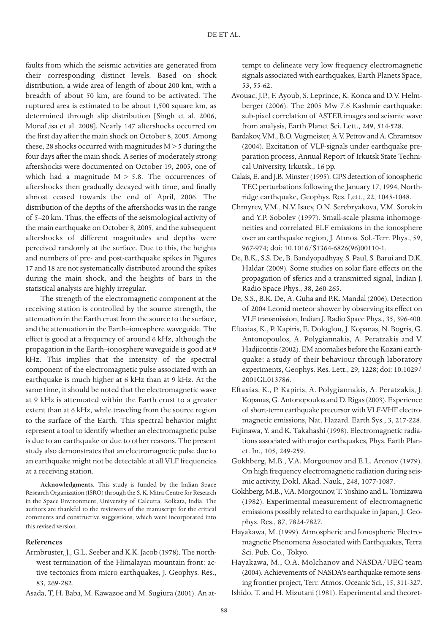faults from which the seismic activities are generated from their corresponding distinct levels. Based on shock distribution, a wide area of length of about 200 km, with a breadth of about 50 km, are found to be activated. The ruptured area is estimated to be about 1,500 square km, as determined through slip distribution [Singh et al. 2006, MonaLisa et al. 2008]. Nearly 147 aftershocks occurred on the first day after the main shock on October 8, 2005. Among these, 28 shocks occurred with magnitudes M > 5 during the four days after the main shock. A series of moderately strong aftershocks were documented on October 19, 2005, one of which had a magnitude  $M > 5.8$ . The occurrences of aftershocks then gradually decayed with time, and finally almost ceased towards the end of April, 2006. The distribution of the depths of the aftershocks was in the range of 5–20 km. Thus, the effects of the seismological activity of the main earthquake on October 8, 2005, and the subsequent aftershocks of different magnitudes and depths were perceived randomly at the surface. Due to this, the heights and numbers of pre- and post-earthquake spikes in Figures 17 and 18 are not systematically distributed around the spikes during the main shock, and the heights of bars in the statistical analysis are highly irregular.

The strength of the electromagnetic component at the receiving station is controlled by the source strength, the attenuation in the Earth crust from the source to the surface, and the attenuation in the Earth–ionosphere waveguide. The effect is good at a frequency of around 6 kHz, although the propagation in the Earth–ionosphere waveguide is good at 9 kHz. This implies that the intensity of the spectral component of the electromagnetic pulse associated with an earthquake is much higher at 6 kHz than at 9 kHz. At the same time, it should be noted that the electromagnetic wave at 9 kHz is attenuated within the Earth crust to a greater extent than at 6 kHz, while traveling from the source region to the surface of the Earth. This spectral behavior might represent a tool to identify whether an electromagnetic pulse is due to an earthquake or due to other reasons. The present study also demonstrates that an electromagnetic pulse due to an earthquake might not be detectable at all VLF frequencies at a receiving station.

**Acknowledgments.** This study is funded by the Indian Space Research Organization (ISRO) through the S. K. Mitra Centre for Research in the Space Environment, University of Calcutta, Kolkata, India. The authors are thankful to the reviewers of the manuscript for the critical comments and constructive suggestions, which were incorporated into this revised version.

## **References**

Armbruster, J., G.L. Seeber and K.K. Jacob (1978). The northwest termination of the Himalayan mountain front: active tectonics from micro earthquakes, J. Geophys. Res., 83, 269-282.

Asada, T, H. Baba, M. Kawazoe and M. Sugiura (2001). An at-

tempt to delineate very low frequency electromagnetic signals associated with earthquakes, Earth Planets Space, 53, 55-62.

- Avouac, J.P., F. Ayoub, S. Leprince, K. Konca and D.V. Helmberger (2006). The 2005 Mw 7.6 Kashmir earthquake: sub-pixel correlation of ASTER images and seismic wave from analysis, Earth Planet Sci. Lett., 249, 514-528.
- Bardakov, V.M., B.O. Vugmeister, A.V. Petrov and A. Chramtsov (2004). Excitation of VLF-signals under earthquake preparation process, Annual Report of Irkutsk State Technical University, Irkutsk., 16 pp.
- Calais, E. and J.B. Minster (1995). GPS detection of ionospheric TEC perturbations following the January 17, 1994, Northridge earthquake, Geophys. Res. Lett., 22, 1045-1048.
- Chmyrev, V.M., N.V. Isaev, O.N. Serebryakova, V.M. Sorokin and Y.P. Sobolev (1997). Small-scale plasma inhomogeneities and correlated ELF emissions in the ionosphere over an earthquake region, J. Atmos. Sol.-Terr. Phys., 59, 967-974; doi: 10.1016/S1364-6826(96)00110-1.
- De, B.K., S.S. De, B. Bandyopadhyay, S. Paul, S. Barui and D.K. Haldar (2009). Some studies on solar flare effects on the propagation of sferics and a transmitted signal, Indian J. Radio Space Phys., 38, 260-265.
- De, S.S., B.K. De, A. Guha and P.K. Mandal (2006). Detection of 2004 Leonid meteor shower by observing its effect on VLF transmission, Indian J. Radio Space Phys., 35, 396-400.
- Eftaxias, K., P. Kapiris, E. Dologlou, J. Kopanas, N. Bogris, G. Antonopoulos, A. Polygiannakis, A. Peratzakis and V. Hadjicontis (2002). EM anomalies before the Kozani earthquake: a study of their behaviour through laboratory experiments, Geophys. Res. Lett., 29, 1228; doi: 10.1029/ 2001GL013786.
- Eftaxias, K., P. Kapiris, A. Polygiannakis, A. Peratzakis, J. Kopanas, G. Antonopoulos and D. Rigas (2003). Experience of short-term earthquake precursor with VLF-VHF electromagnetic emissions, Nat. Hazard. Earth Sys., 3, 217-228.
- Fujinawa, Y. and K. Takahashi (1998). Electromagnetic radiations associated with major earthquakes, Phys. Earth Planet. In., 105, 249-259.
- Gokhberg, M.B., V.A. Morgounov and E.L. Aronov (1979). On high frequency electromagnetic radiation during seismic activity, Dokl. Akad. Nauk., 248, 1077-1087.
- Gokhberg, M.B., V.A. Morgounov, T. Yoshino and L. Tomizawa (1982). Experimental measurement of electromagnetic emissions possibly related to earthquake in Japan, J. Geophys. Res., 87, 7824-7827.
- Hayakawa, M. (1999). Atmospheric and Ionospheric Electromagnetic Phenomena Associated with Earthquakes, Terra Sci. Pub. Co., Tokyo.

Hayakawa, M., O.A. Molchanov and NASDA/UEC team (2004). Achievements of NASDA's earthquake remote sensing frontier project, Terr. Atmos. Oceanic Sci., 15, 311-327.

Ishido, T. and H. Mizutani (1981). Experimental and theoret-